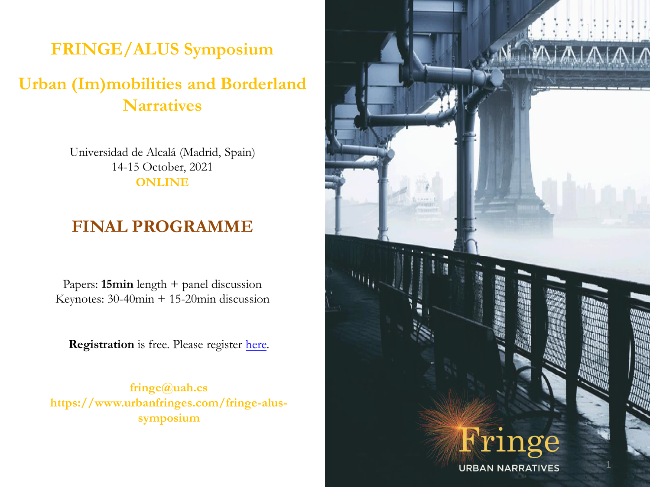### **FRINGE/ALUS Symposium**

### **Urban (Im)mobilities and Borderland Narratives**

Universidad de Alcalá (Madrid, Spain) 14-15 October, 2021 **ONLINE**

### **FINAL PROGRAMME**

Papers: **15min** length + panel discussion Keynotes: 30-40min + 15-20min discussion

**Registration** is free. Please register [here](https://docs.google.com/forms/d/e/1FAIpQLSeOC5LisEh6qiPxUdzzrIqy95TySuX64XMg575LviiWhaH-MA/viewform).

**fringe@uah.es https://www.urbanfringes.com/fringe-alussymposium**

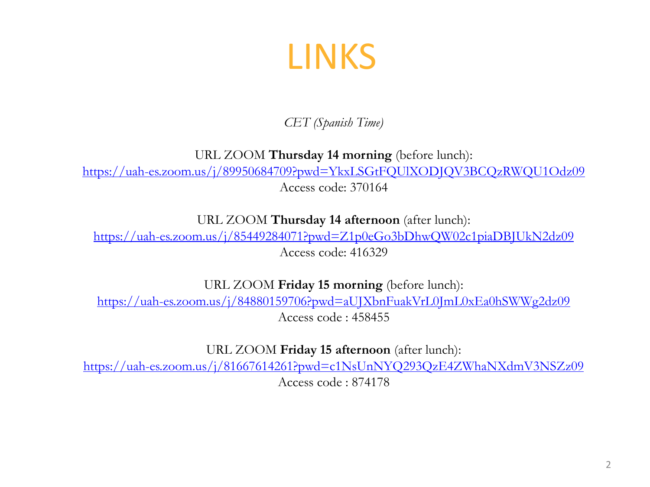# LINKS

*CET (Spanish Time)*

URL ZOOM **Thursday 14 morning** (before lunch):

<https://uah-es.zoom.us/j/89950684709?pwd=YkxLSGtFQUlXODJQV3BCQzRWQU1Odz09>

Access code: 370164

URL ZOOM **Thursday 14 afternoon** (after lunch):

<https://uah-es.zoom.us/j/85449284071?pwd=Z1p0eGo3bDhwQW02c1piaDBJUkN2dz09> Access code: 416329

URL ZOOM **Friday 15 morning** (before lunch):

<https://uah-es.zoom.us/j/84880159706?pwd=aUJXbnFuakVrL0JmL0xEa0hSWWg2dz09> Access code : 458455

URL ZOOM **Friday 15 afternoon** (after lunch):

<https://uah-es.zoom.us/j/81667614261?pwd=c1NsUnNYQ293QzE4ZWhaNXdmV3NSZz09>

Access code : 874178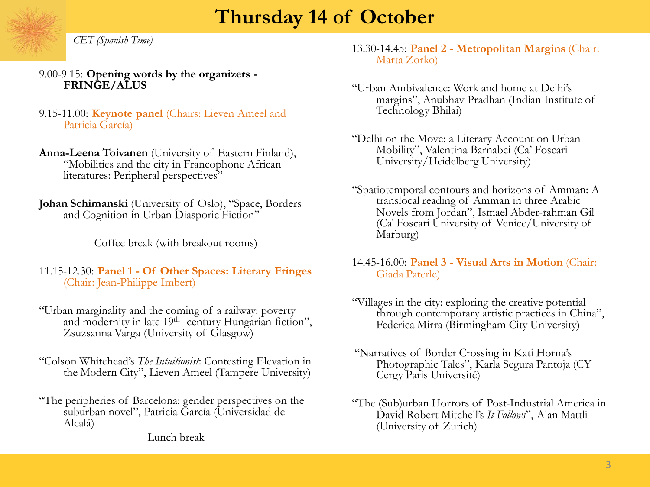## **Thursday 14 of October**

*CET (Spanish Time)*

9.00-9.15: **Opening words by the organizers - FRINGE/ALUS**

9.15-11.00: **Keynote panel** (Chairs: Lieven Ameel and Patricia García)

**Anna-Leena Toivanen** (University of Eastern Finland), ―Mobilities and the city in Francophone African literatures: Peripheral perspectives"

Johan Schimanski (University of Oslo), "Space, Borders and Cognition in Urban Diasporic Fiction"

Coffee break (with breakout rooms)

11.15-12.30: **Panel 1 - Of Other Spaces: Literary Fringes**  (Chair: Jean-Philippe Imbert)

- ―Urban marginality and the coming of a railway: poverty and modernity in late  $19<sup>th</sup>$ - century Hungarian fiction", Zsuzsanna Varga (University of Glasgow)
- ―Colson Whitehead's *The Intuitionist*: Contesting Elevation in the Modern City", Lieven Ameel (Tampere University)
- ―The peripheries of Barcelona: gender perspectives on the suburban novel", Patricia García (Universidad de Alcalá)

Lunch break

13.30-14.45: **Panel 2 - Metropolitan Margins** (Chair: Marta Zorko)

- ―Urban Ambivalence: Work and home at Delhi's margins", Anubhav Pradhan (Indian Institute of Technology Bhilai)
- ―Delhi on the Move: a Literary Account on Urban Mobility", Valentina Barnabei (Ca' Foscari University/Heidelberg University)
- ―Spatiotemporal contours and horizons of Amman: A translocal reading of Amman in three Arabic Novels from Jordan", Ismael Abder-rahman Gil (Ca' Foscari University of Venice/University of Marburg)
- 14.45-16.00: **Panel 3 - Visual Arts in Motion** (Chair: Giada Paterle)
- ―Villages in the city: exploring the creative potential through contemporary artistic practices in China", Federica Mirra (Birmingham City University)
- ―Narratives of Border Crossing in Kati Horna's Photographic Tales", Karla Segura Pantoja (CY Cergy Paris Université)
- ―The (Sub)urban Horrors of Post-Industrial America in David Robert Mitchell's *It Follows*", Alan Mattli (University of Zurich)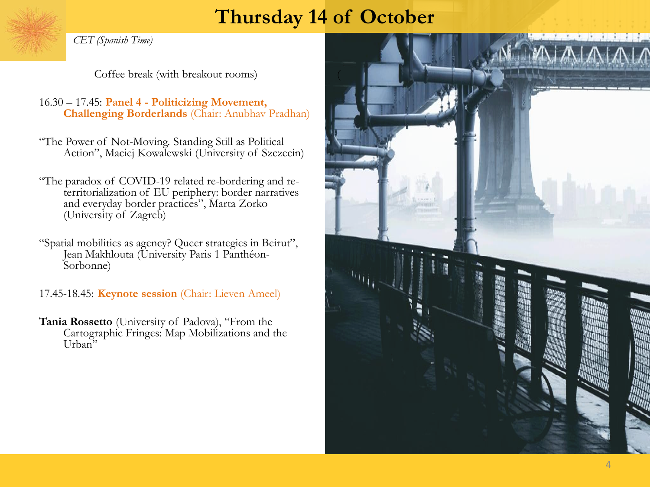## **Thursday 14 of October**

*CET (Spanish Time)*

Coffee break (with breakout rooms)

16.30 – 17.45: **Panel 4 - Politicizing Movement, Challenging Borderlands** (Chair: Anubhav Pradhan)

―The Power of Not-Moving. Standing Still as Political Action", Maciej Kowalewski (University of Szczecin)

―The paradox of COVID-19 related re-bordering and reterritorialization of EU periphery: border narratives and everyday border practices", Marta Zorko (University of Zagreb)

"Spatial mobilities as agency? Queer strategies in Beirut", Jean Makhlouta (University Paris 1 Panthéon-Sorbonne)

17.45-18.45: **Keynote session** (Chair: Lieven Ameel)

**Tania Rossetto** (University of Padova), "From the Cartographic Fringes: Map Mobilizations and the Urban

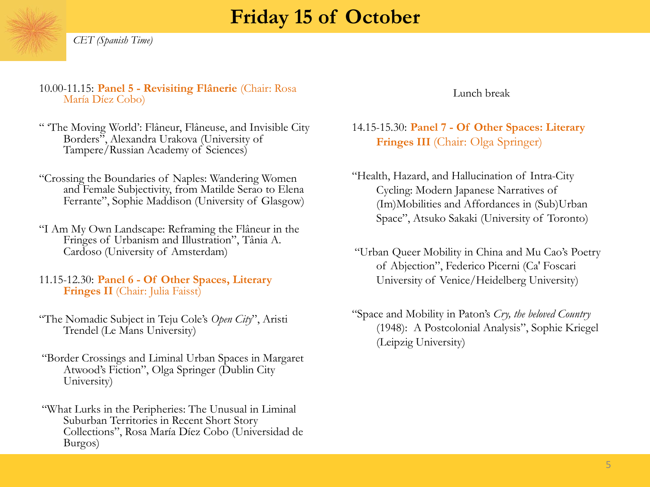# **Friday 15 of October**



#### 10.00-11.15: **Panel 5 - Revisiting Flânerie** (Chair: Rosa María Díez Cobo)

- ― ‗The Moving World': Flâneur, Flâneuse, and Invisible City Borders", Alexandra Urakova (University of Tampere/Russian Academy of Sciences)
- ―Crossing the Boundaries of Naples: Wandering Women and Female Subjectivity, from Matilde Serao to Elena Ferrante", Sophie Maddison (University of Glasgow)
- ―I Am My Own Landscape: Reframing the Flâneur in the Fringes of Urbanism and Illustration", Tânia A. Cardoso (University of Amsterdam)
- 11.15-12.30: **Panel 6 - Of Other Spaces, Literary Fringes II** (Chair: Julia Faisst)
- ―The Nomadic Subject in Teju Cole's *Open City*‖, Aristi Trendel (Le Mans University)
- ―Border Crossings and Liminal Urban Spaces in Margaret Atwood's Fiction", Olga Springer (Dublin City University)
- ―What Lurks in the Peripheries: The Unusual in Liminal Suburban Territories in Recent Short Story Collections‖, Rosa María Díez Cobo (Universidad de Burgos)

Lunch break

#### 14.15-15.30: **Panel 7 - Of Other Spaces: Literary Fringes III** (Chair: Olga Springer)

- ―Health, Hazard, and Hallucination of Intra-City Cycling: Modern Japanese Narratives of (Im)Mobilities and Affordances in (Sub)Urban Space", Atsuko Sakaki (University of Toronto)
- ―Urban Queer Mobility in China and Mu Cao's Poetry of Abjection", Federico Picerni (Ca' Foscari University of Venice/Heidelberg University)
- ―Space and Mobility in Paton's *Cry, the beloved Country* (1948): A Postcolonial Analysis", Sophie Kriegel (Leipzig University)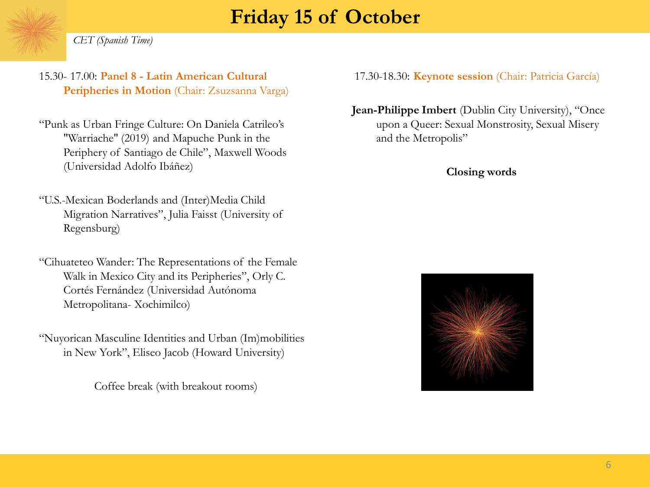# **Friday 15 of October**

*CET (Spanish Time)*

- 15.30- 17.00: **Panel 8 - Latin American Cultural**  Peripheries in Motion (Chair: Zsuzsanna Varga)
- ―Punk as Urban Fringe Culture: On Daniela Catrileo's "Warriache" (2019) and Mapuche Punk in the Periphery of Santiago de Chile", Maxwell Woods (Universidad Adolfo Ibáñez)
- ―U.S.-Mexican Boderlands and (Inter)Media Child Migration Narratives", Julia Faisst (University of Regensburg)
- ―Cihuateteo Wander: The Representations of the Female Walk in Mexico City and its Peripheries", Orly C. Cortés Fernández (Universidad Autónoma Metropolitana- Xochimilco)
- ―Nuyorican Masculine Identities and Urban (Im)mobilities in New York", Eliseo Jacob (Howard University)

Coffee break (with breakout rooms)

17.30-18.30: **Keynote session** (Chair: Patricia García)

**Jean-Philippe Imbert** (Dublin City University), "Once upon a Queer: Sexual Monstrosity, Sexual Misery and the Metropolis"

#### **Closing words**

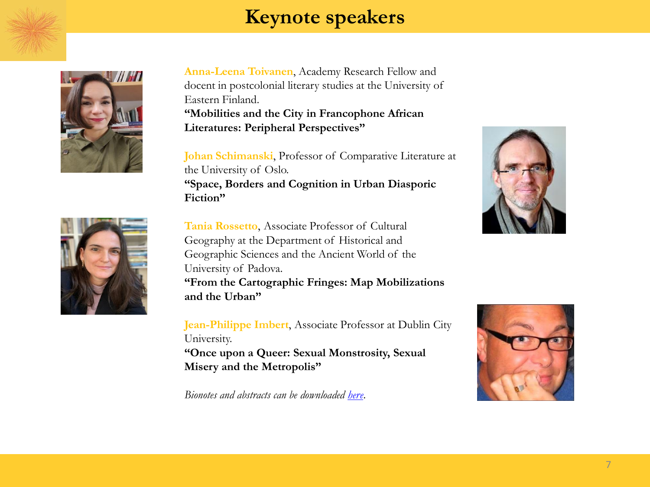

# **Keynote speakers**



**Anna-Leena Toivanen**, Academy Research Fellow and docent in postcolonial literary studies at the University of Eastern Finland.

**"Mobilities and the City in Francophone African Literatures: Peripheral Perspectives"** 

**Johan Schimanski**, Professor of Comparative Literature at the University of Oslo.

**"Space, Borders and Cognition in Urban Diasporic Fiction"**

**Tania Rossetto**, Associate Professor of Cultural Geography at the Department of Historical and Geographic Sciences and the Ancient World of the University of Padova.

**"From the Cartographic Fringes: Map Mobilizations and the Urban"**

**Jean-Philippe Imbert**, Associate Professor at Dublin City University.

**"Once upon a Queer: Sexual Monstrosity, Sexual Misery and the Metropolis"**

*Bionotes and abstracts can be downloaded [here](https://7acfafe7-615e-43c8-b462-d361807494b3.filesusr.com/ugd/03f723_a1f59fa28d3444889b36b265b1e5506b.pdf)*.





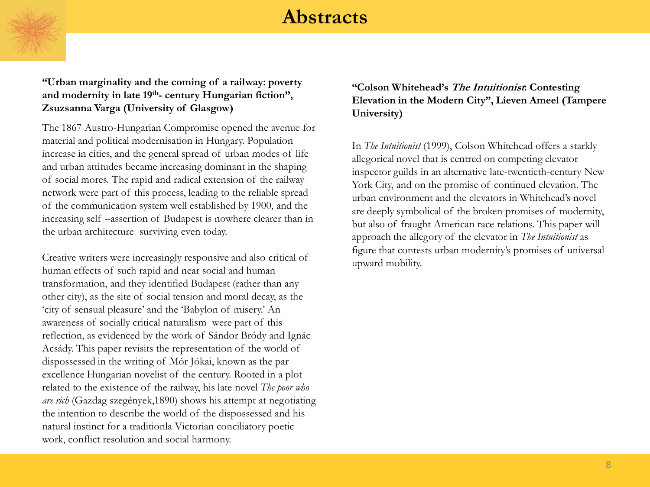

**"Urban marginality and the coming of a railway: poverty and modernity in late 19th - century Hungarian fiction", Zsuzsanna Varga (University of Glasgow)** 

The 1867 Austro-Hungarian Compromise opened the avenue for material and political modernisation in Hungary. Population increase in cities, and the general spread of urban modes of life and urban attitudes became increasing dominant in the shaping of social mores. The rapid and radical extension of the railway network were part of this process, leading to the reliable spread of the communication system well established by 1900, and the increasing self –assertion of Budapest is nowhere clearer than in the urban architecture surviving even today.

Creative writers were increasingly responsive and also critical of human effects of such rapid and near social and human transformation, and they identified Budapest (rather than any other city), as the site of social tension and moral decay, as the ‗city of sensual pleasure' and the ‗Babylon of misery.' An awareness of socially critical naturalism were part of this reflection, as evidenced by the work of Sándor Bródy and Ignác Acsády. This paper revisits the representation of the world of dispossessed in the writing of Mór Jókai, known as the par excellence Hungarian novelist of the century. Rooted in a plot related to the existence of the railway, his late novel *The poor who are rich* (Gazdag szegények,1890) shows his attempt at negotiating the intention to describe the world of the dispossessed and his natural instinct for a traditionla Victorian conciliatory poetic work, conflict resolution and social harmony.

#### **"Colson Whitehead"s The Intuitionist: Contesting Elevation in the Modern City", Lieven Ameel (Tampere University)**

In *The Intuitionist* (1999), Colson Whitehead offers a starkly allegorical novel that is centred on competing elevator inspector guilds in an alternative late-twentieth-century New York City, and on the promise of continued elevation. The urban environment and the elevators in Whitehead's novel are deeply symbolical of the broken promises of modernity, but also of fraught American race relations. This paper will approach the allegory of the elevator in *The Intuitionist* as figure that contests urban modernity's promises of universal upward mobility.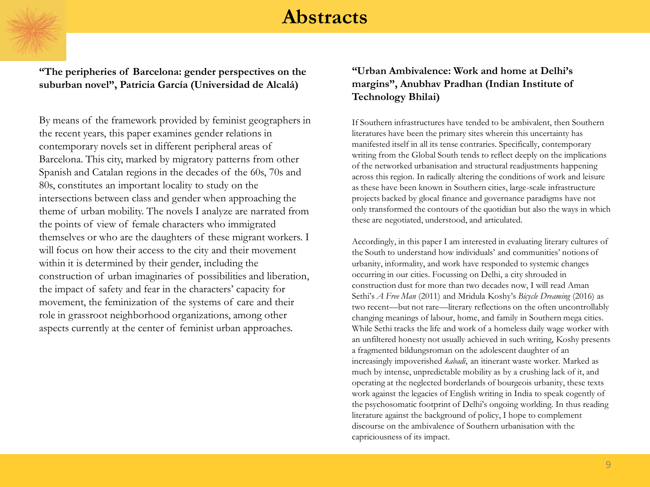**"The peripheries of Barcelona: gender perspectives on the suburban novel", Patricia García (Universidad de Alcalá)**

By means of the framework provided by feminist geographers in the recent years, this paper examines gender relations in contemporary novels set in different peripheral areas of Barcelona. This city, marked by migratory patterns from other Spanish and Catalan regions in the decades of the 60s, 70s and 80s, constitutes an important locality to study on the intersections between class and gender when approaching the theme of urban mobility. The novels I analyze are narrated from the points of view of female characters who immigrated themselves or who are the daughters of these migrant workers. I will focus on how their access to the city and their movement within it is determined by their gender, including the construction of urban imaginaries of possibilities and liberation, the impact of safety and fear in the characters' capacity for movement, the feminization of the systems of care and their role in grassroot neighborhood organizations, among other aspects currently at the center of feminist urban approaches.

#### **"Urban Ambivalence: Work and home at Delhi"s margins", Anubhav Pradhan (Indian Institute of Technology Bhilai)**

If Southern infrastructures have tended to be ambivalent, then Southern literatures have been the primary sites wherein this uncertainty has manifested itself in all its tense contraries. Specifically, contemporary writing from the Global South tends to reflect deeply on the implications of the networked urbanisation and structural readjustments happening across this region. In radically altering the conditions of work and leisure as these have been known in Southern cities, large-scale infrastructure projects backed by glocal finance and governance paradigms have not only transformed the contours of the quotidian but also the ways in which these are negotiated, understood, and articulated.

Accordingly, in this paper I am interested in evaluating literary cultures of the South to understand how individuals' and communities' notions of urbanity, informality, and work have responded to systemic changes occurring in our cities. Focussing on Delhi, a city shrouded in construction dust for more than two decades now, I will read Aman Sethi's *A Free Man* (2011) and Mridula Koshy's *Bicycle Dreaming* (2016) as two recent—but not rare—literary reflections on the often uncontrollably changing meanings of labour, home, and family in Southern mega cities. While Sethi tracks the life and work of a homeless daily wage worker with an unfiltered honesty not usually achieved in such writing, Koshy presents a fragmented bildungsroman on the adolescent daughter of an increasingly impoverished *kabadi*, an itinerant waste worker. Marked as much by intense, unpredictable mobility as by a crushing lack of it, and operating at the neglected borderlands of bourgeois urbanity, these texts work against the legacies of English writing in India to speak cogently of the psychosomatic footprint of Delhi's ongoing worlding. In thus reading literature against the background of policy, I hope to complement discourse on the ambivalence of Southern urbanisation with the capriciousness of its impact.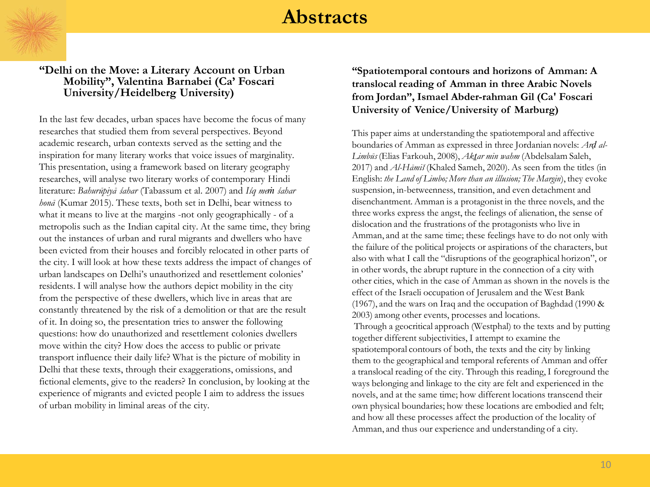

#### **"Delhi on the Move: a Literary Account on Urban Mobility", Valentina Barnabei (Ca" Foscari University/Heidelberg University)**

In the last few decades, urban spaces have become the focus of many researches that studied them from several perspectives. Beyond academic research, urban contexts served as the setting and the inspiration for many literary works that voice issues of marginality. This presentation, using a framework based on literary geography researches, will analyse two literary works of contemporary Hindi literature: *Bahurūpiyā śahar* (Tabassum et al. 2007) and *Iśq meṁ śahar honā* (Kumar 2015). These texts, both set in Delhi, bear witness to what it means to live at the margins -not only geographically - of a metropolis such as the Indian capital city. At the same time, they bring out the instances of urban and rural migrants and dwellers who have been evicted from their houses and forcibly relocated in other parts of the city. I will look at how these texts address the impact of changes of urban landscapes on Delhi's unauthorized and resettlement colonies' residents. I will analyse how the authors depict mobility in the city from the perspective of these dwellers, which live in areas that are constantly threatened by the risk of a demolition or that are the result of it. In doing so, the presentation tries to answer the following questions: how do unauthorized and resettlement colonies dwellers move within the city? How does the access to public or private transport influence their daily life? What is the picture of mobility in Delhi that these texts, through their exaggerations, omissions, and fictional elements, give to the readers? In conclusion, by looking at the experience of migrants and evicted people I aim to address the issues of urban mobility in liminal areas of the city.

#### **"Spatiotemporal contours and horizons of Amman: A translocal reading of Amman in three Arabic Novels from Jordan", Ismael Abder-rahman Gil (Ca' Foscari University of Venice/University of Marburg)**

This paper aims at understanding the spatiotemporal and affective boundaries of Amman as expressed in three Jordanian novels: *Arḍ al-Limbūs* (Elias Farkouh, 2008), *Akṯar min wahm* (Abdelsalam Saleh, 2017) and *Al-Hāmiš* (Khaled Sameh, 2020). As seen from the titles (in English: *the Land of Limbo; More than an illusion; The Margin*), they evoke suspension, in-betweenness, transition, and even detachment and disenchantment. Amman is a protagonist in the three novels, and the three works express the angst, the feelings of alienation, the sense of dislocation and the frustrations of the protagonists who live in Amman, and at the same time; these feelings have to do not only with the failure of the political projects or aspirations of the characters, but also with what I call the "disruptions of the geographical horizon", or in other words, the abrupt rupture in the connection of a city with other cities, which in the case of Amman as shown in the novels is the effect of the Israeli occupation of Jerusalem and the West Bank (1967), and the wars on Iraq and the occupation of Baghdad (1990 & 2003) among other events, processes and locations.

Through a geocritical approach (Westphal) to the texts and by putting together different subjectivities, I attempt to examine the spatiotemporal contours of both, the texts and the city by linking them to the geographical and temporal referents of Amman and offer a translocal reading of the city. Through this reading, I foreground the ways belonging and linkage to the city are felt and experienced in the novels, and at the same time; how different locations transcend their own physical boundaries; how these locations are embodied and felt; and how all these processes affect the production of the locality of Amman, and thus our experience and understanding of a city.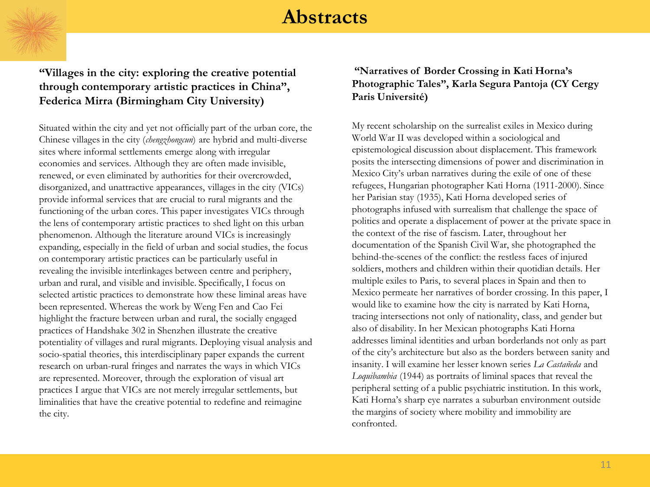

**"Villages in the city: exploring the creative potential through contemporary artistic practices in China", Federica Mirra (Birmingham City University)**

Situated within the city and yet not officially part of the urban core, the Chinese villages in the city (*chengzhongcun*) are hybrid and multi-diverse sites where informal settlements emerge along with irregular economies and services. Although they are often made invisible, renewed, or even eliminated by authorities for their overcrowded, disorganized, and unattractive appearances, villages in the city (VICs) provide informal services that are crucial to rural migrants and the functioning of the urban cores. This paper investigates VICs through the lens of contemporary artistic practices to shed light on this urban phenomenon. Although the literature around VICs is increasingly expanding, especially in the field of urban and social studies, the focus on contemporary artistic practices can be particularly useful in revealing the invisible interlinkages between centre and periphery, urban and rural, and visible and invisible. Specifically, I focus on selected artistic practices to demonstrate how these liminal areas have been represented. Whereas the work by Weng Fen and Cao Fei highlight the fracture between urban and rural, the socially engaged practices of Handshake 302 in Shenzhen illustrate the creative potentiality of villages and rural migrants. Deploying visual analysis and socio-spatial theories, this interdisciplinary paper expands the current research on urban-rural fringes and narrates the ways in which VICs are represented. Moreover, through the exploration of visual art practices I argue that VICs are not merely irregular settlements, but liminalities that have the creative potential to redefine and reimagine the city.

#### **"Narratives of Border Crossing in Kati Horna"s Photographic Tales", Karla Segura Pantoja (CY Cergy Paris Université)**

My recent scholarship on the surrealist exiles in Mexico during World War II was developed within a sociological and epistemological discussion about displacement. This framework posits the intersecting dimensions of power and discrimination in Mexico City's urban narratives during the exile of one of these refugees, Hungarian photographer Kati Horna (1911-2000). Since her Parisian stay (1935), Kati Horna developed series of photographs infused with surrealism that challenge the space of politics and operate a displacement of power at the private space in the context of the rise of fascism. Later, throughout her documentation of the Spanish Civil War, she photographed the behind-the-scenes of the conflict: the restless faces of injured soldiers, mothers and children within their quotidian details. Her multiple exiles to Paris, to several places in Spain and then to Mexico permeate her narratives of border crossing. In this paper, I would like to examine how the city is narrated by Kati Horna, tracing intersections not only of nationality, class, and gender but also of disability. In her Mexican photographs Kati Horna addresses liminal identities and urban borderlands not only as part of the city's architecture but also as the borders between sanity and insanity. I will examine her lesser known series *La Castañeda* and *Loquibambia* (1944) as portraits of liminal spaces that reveal the peripheral setting of a public psychiatric institution. In this work, Kati Horna's sharp eye narrates a suburban environment outside the margins of society where mobility and immobility are confronted.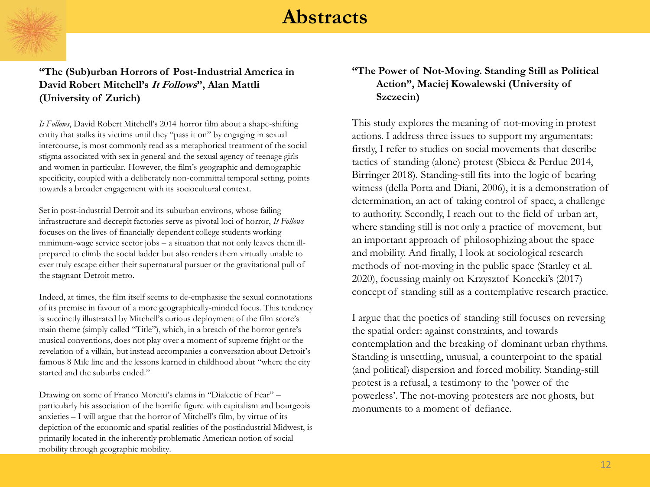

#### **"The (Sub)urban Horrors of Post-Industrial America in David Robert Mitchell"s It Follows", Alan Mattli (University of Zurich)**

*It Follows*, David Robert Mitchell's 2014 horror film about a shape-shifting entity that stalks its victims until they "pass it on" by engaging in sexual intercourse, is most commonly read as a metaphorical treatment of the social stigma associated with sex in general and the sexual agency of teenage girls and women in particular. However, the film's geographic and demographic specificity, coupled with a deliberately non-committal temporal setting, points towards a broader engagement with its sociocultural context.

Set in post-industrial Detroit and its suburban environs, whose failing infrastructure and decrepit factories serve as pivotal loci of horror, *It Follows* focuses on the lives of financially dependent college students working minimum-wage service sector jobs – a situation that not only leaves them illprepared to climb the social ladder but also renders them virtually unable to ever truly escape either their supernatural pursuer or the gravitational pull of the stagnant Detroit metro.

Indeed, at times, the film itself seems to de-emphasise the sexual connotations of its premise in favour of a more geographically-minded focus. This tendency is succinctly illustrated by Mitchell's curious deployment of the film score's main theme (simply called "Title"), which, in a breach of the horror genre's musical conventions, does not play over a moment of supreme fright or the revelation of a villain, but instead accompanies a conversation about Detroit's famous 8 Mile line and the lessons learned in childhood about "where the city started and the suburbs ended."

Drawing on some of Franco Moretti's claims in "Dialectic of Fear" – particularly his association of the horrific figure with capitalism and bourgeois anxieties – I will argue that the horror of Mitchell's film, by virtue of its depiction of the economic and spatial realities of the postindustrial Midwest, is primarily located in the inherently problematic American notion of social mobility through geographic mobility.

#### **"The Power of Not-Moving. Standing Still as Political Action", Maciej Kowalewski (University of Szczecin)**

This study explores the meaning of not-moving in protest actions. I address three issues to support my argumentats: firstly, I refer to studies on social movements that describe tactics of standing (alone) protest (Sbicca & Perdue 2014, Birringer 2018). Standing-still fits into the logic of bearing witness (della Porta and Diani, 2006), it is a demonstration of determination, an act of taking control of space, a challenge to authority. Secondly, I reach out to the field of urban art, where standing still is not only a practice of movement, but an important approach of philosophizing about the space and mobility. And finally, I look at sociological research methods of not-moving in the public space (Stanley et al. 2020), focussing mainly on Krzysztof Konecki's (2017) concept of standing still as a contemplative research practice.

I argue that the poetics of standing still focuses on reversing the spatial order: against constraints, and towards contemplation and the breaking of dominant urban rhythms. Standing is unsettling, unusual, a counterpoint to the spatial (and political) dispersion and forced mobility. Standing-still protest is a refusal, a testimony to the 'power of the powerless'. The not-moving protesters are not ghosts, but monuments to a moment of defiance.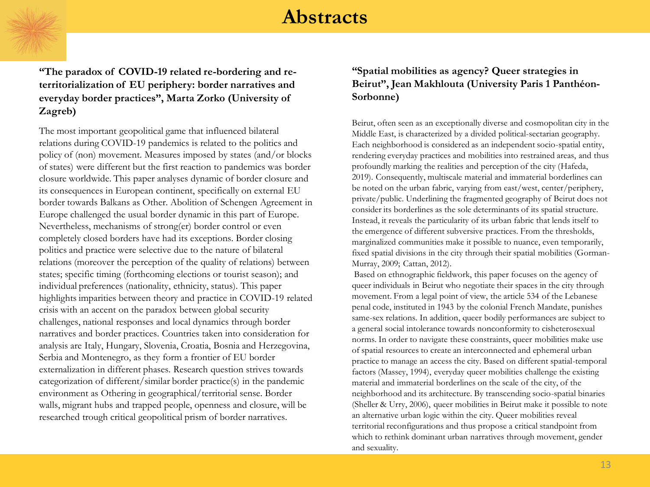**"The paradox of COVID-19 related re-bordering and reterritorialization of EU periphery: border narratives and everyday border practices", Marta Zorko (University of Zagreb)**

The most important geopolitical game that influenced bilateral relations during COVID-19 pandemics is related to the politics and policy of (non) movement. Measures imposed by states (and/or blocks of states) were different but the first reaction to pandemics was border closure worldwide. This paper analyses dynamic of border closure and its consequences in European continent, specifically on external EU border towards Balkans as Other. Abolition of Schengen Agreement in Europe challenged the usual border dynamic in this part of Europe. Nevertheless, mechanisms of strong(er) border control or even completely closed borders have had its exceptions. Border closing politics and practice were selective due to the nature of bilateral relations (moreover the perception of the quality of relations) between states; specific timing (forthcoming elections or tourist season); and individual preferences (nationality, ethnicity, status). This paper highlights imparities between theory and practice in COVID-19 related crisis with an accent on the paradox between global security challenges, national responses and local dynamics through border narratives and border practices. Countries taken into consideration for analysis are Italy, Hungary, Slovenia, Croatia, Bosnia and Herzegovina, Serbia and Montenegro, as they form a frontier of EU border externalization in different phases. Research question strives towards categorization of different/similar border practice(s) in the pandemic environment as Othering in geographical/territorial sense. Border walls, migrant hubs and trapped people, openness and closure, will be researched trough critical geopolitical prism of border narratives.

#### **"Spatial mobilities as agency? Queer strategies in Beirut", Jean Makhlouta (University Paris 1 Panthéon-Sorbonne)**

Beirut, often seen as an exceptionally diverse and cosmopolitan city in the Middle East, is characterized by a divided political-sectarian geography. Each neighborhood is considered as an independent socio-spatial entity, rendering everyday practices and mobilities into restrained areas, and thus profoundly marking the realities and perception of the city (Hafeda, 2019). Consequently, multiscale material and immaterial borderlines can be noted on the urban fabric, varying from east/west, center/periphery, private/public. Underlining the fragmented geography of Beirut does not consider its borderlines as the sole determinants of its spatial structure. Instead, it reveals the particularity of its urban fabric that lends itself to the emergence of different subversive practices. From the thresholds, marginalized communities make it possible to nuance, even temporarily, fixed spatial divisions in the city through their spatial mobilities (Gorman-Murray, 2009; Cattan, 2012).

Based on ethnographic fieldwork, this paper focuses on the agency of queer individuals in Beirut who negotiate their spaces in the city through movement. From a legal point of view, the article 534 of the Lebanese penal code, instituted in 1943 by the colonial French Mandate, punishes same-sex relations. In addition, queer bodily performances are subject to a general social intolerance towards nonconformity to cisheterosexual norms. In order to navigate these constraints, queer mobilities make use of spatial resources to create an interconnected and ephemeral urban practice to manage an access the city. Based on different spatial-temporal factors (Massey, 1994), everyday queer mobilities challenge the existing material and immaterial borderlines on the scale of the city, of the neighborhood and its architecture. By transcending socio-spatial binaries (Sheller & Urry, 2006), queer mobilities in Beirut make it possible to note an alternative urban logic within the city. Queer mobilities reveal territorial reconfigurations and thus propose a critical standpoint from which to rethink dominant urban narratives through movement, gender and sexuality.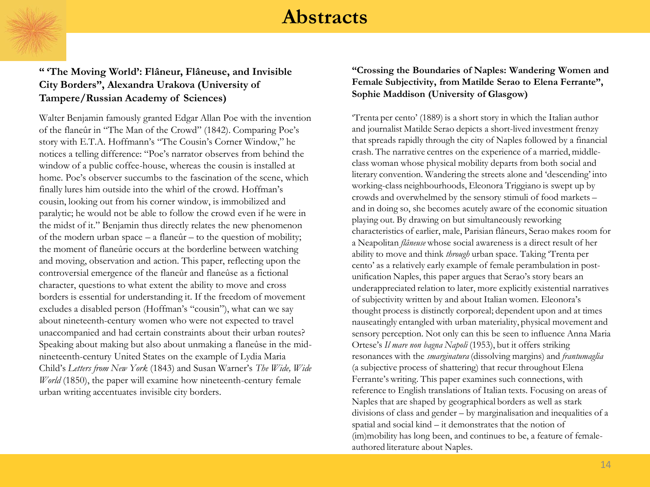

#### **" "The Moving World": Flâneur, Flâneuse, and Invisible City Borders", Alexandra Urakova (University of Tampere/Russian Academy of Sciences)**

Walter Benjamin famously granted Edgar Allan Poe with the invention of the flaneûr in "The Man of the Crowd" (1842). Comparing Poe's story with E.T.A. Hoffmann's "The Cousin's Corner Window," he notices a telling difference: "Poe's narrator observes from behind the window of a public coffee-house, whereas the cousin is installed at home. Poe's observer succumbs to the fascination of the scene, which finally lures him outside into the whirl of the crowd. Hoffman's cousin, looking out from his corner window, is immobilized and paralytic; he would not be able to follow the crowd even if he were in the midst of it." Benjamin thus directly relates the new phenomenon of the modern urban space  $- a$  flane $\hat{u}r - t$  to the question of mobility; the moment of flaneûrie occurs at the borderline between watching and moving, observation and action. This paper, reflecting upon the controversial emergence of the flaneûr and flaneûse as a fictional character, questions to what extent the ability to move and cross borders is essential for understanding it. If the freedom of movement excludes a disabled person (Hoffman's "cousin"), what can we say about nineteenth-century women who were not expected to travel unaccompanied and had certain constraints about their urban routes? Speaking about making but also about unmaking a flaneûse in the midnineteenth-century United States on the example of Lydia Maria Child's *Letters from New York* (1843) and Susan Warner's *The Wide, Wide World* (1850), the paper will examine how nineteenth-century female urban writing accentuates invisible city borders.

#### **"Crossing the Boundaries of Naples: Wandering Women and Female Subjectivity, from Matilde Serao to Elena Ferrante", Sophie Maddison (University of Glasgow)**

‗Trenta per cento' (1889) is a short story in which the Italian author and journalist Matilde Serao depicts a short-lived investment frenzy that spreads rapidly through the city of Naples followed by a financial crash. The narrative centres on the experience of a married, middleclass woman whose physical mobility departs from both social and literary convention. Wandering the streets alone and 'descending' into working-class neighbourhoods, Eleonora Triggiano is swept up by crowds and overwhelmed by the sensory stimuli of food markets – and in doing so, she becomes acutely aware of the economic situation playing out. By drawing on but simultaneously reworking characteristics of earlier, male, Parisian flâneurs, Serao makes room for a Neapolitan *flâneuse* whose social awareness is a direct result of her ability to move and think *through* urban space. Taking 'Trenta per cento' as a relatively early example of female perambulation in postunification Naples, this paper argues that Serao's story bears an underappreciated relation to later, more explicitly existential narratives of subjectivity written by and about Italian women. Eleonora's thought process is distinctly corporeal; dependent upon and at times nauseatingly entangled with urban materiality, physical movement and sensory perception. Not only can this be seen to influence Anna Maria Ortese's *Il mare non bagna Napoli* (1953), but it offers striking resonances with the *smarginatura* (dissolving margins) and *frantumaglia* (a subjective process of shattering) that recur throughout Elena Ferrante's writing. This paper examines such connections, with reference to English translations of Italian texts. Focusing on areas of Naples that are shaped by geographical borders as well as stark divisions of class and gender – by marginalisation and inequalities of a spatial and social kind – it demonstrates that the notion of (im)mobility has long been, and continues to be, a feature of femaleauthored literature about Naples.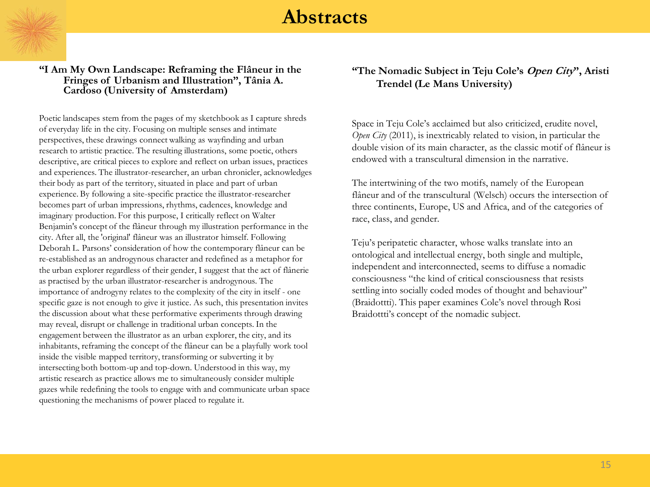

#### **"I Am My Own Landscape: Reframing the Flâneur in the Fringes of Urbanism and Illustration", Tânia A. Cardoso (University of Amsterdam)**

Poetic landscapes stem from the pages of my sketchbook as I capture shreds of everyday life in the city. Focusing on multiple senses and intimate perspectives, these drawings connect walking as wayfinding and urban research to artistic practice. The resulting illustrations, some poetic, others descriptive, are critical pieces to explore and reflect on urban issues, practices and experiences. The illustrator-researcher, an urban chronicler, acknowledges their body as part of the territory, situated in place and part of urban experience. By following a site-specific practice the illustrator-researcher becomes part of urban impressions, rhythms, cadences, knowledge and imaginary production. For this purpose, I critically reflect on Walter Benjamin's concept of the flâneur through my illustration performance in the city. After all, the 'original' flâneur was an illustrator himself. Following Deborah L. Parsons' consideration of how the contemporary flâneur can be re-established as an androgynous character and redefined as a metaphor for the urban explorer regardless of their gender, I suggest that the act of flânerie as practised by the urban illustrator-researcher is androgynous. The importance of androgyny relates to the complexity of the city in itself - one specific gaze is not enough to give it justice. As such, this presentation invites the discussion about what these performative experiments through drawing may reveal, disrupt or challenge in traditional urban concepts. In the engagement between the illustrator as an urban explorer, the city, and its inhabitants, reframing the concept of the flâneur can be a playfully work tool inside the visible mapped territory, transforming or subverting it by intersecting both bottom-up and top-down. Understood in this way, my artistic research as practice allows me to simultaneously consider multiple gazes while redefining the tools to engage with and communicate urban space questioning the mechanisms of power placed to regulate it.

#### **"The Nomadic Subject in Teju Cole"s Open City", Aristi Trendel (Le Mans University)**

Space in Teju Cole's acclaimed but also criticized, erudite novel, *Open City* (2011), is inextricably related to vision, in particular the double vision of its main character, as the classic motif of flâneur is endowed with a transcultural dimension in the narrative.

The intertwining of the two motifs, namely of the European flâneur and of the transcultural (Welsch) occurs the intersection of three continents, Europe, US and Africa, and of the categories of race, class, and gender.

Teju's peripatetic character, whose walks translate into an ontological and intellectual energy, both single and multiple, independent and interconnected, seems to diffuse a nomadic consciousness "the kind of critical consciousness that resists settling into socially coded modes of thought and behaviour" (Braidottti). This paper examines Cole's novel through Rosi Braidottti's concept of the nomadic subject.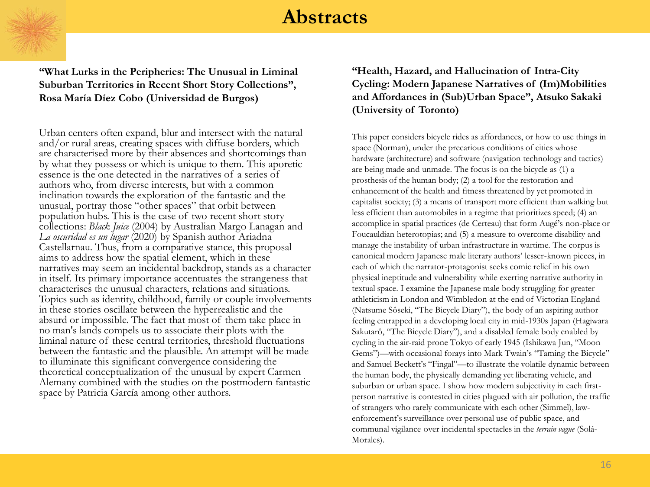

**"What Lurks in the Peripheries: The Unusual in Liminal Suburban Territories in Recent Short Story Collections", Rosa María Díez Cobo (Universidad de Burgos)**

Urban centers often expand, blur and intersect with the natural and/or rural areas, creating spaces with diffuse borders, which are characterised more by their absences and shortcomings than by what they possess or which is unique to them. This aporetic essence is the one detected in the narratives of a series of authors who, from diverse interests, but with a common inclination towards the exploration of the fantastic and the unusual, portray those "other spaces" that orbit between population hubs. This is the case of two recent short story collections: *Black Juice* (2004) by Australian Margo Lanagan and *La oscuridad es un lugar* (2020) by Spanish author Ariadna Castellarnau. Thus, from a comparative stance, this proposal aims to address how the spatial element, which in these narratives may seem an incidental backdrop, stands as a character in itself. Its primary importance accentuates the strangeness that characterises the unusual characters, relations and situations. Topics such as identity, childhood, family or couple involvements in these stories oscillate between the hyperrealistic and the absurd or impossible. The fact that most of them take place in no man's lands compels us to associate their plots with the liminal nature of these central territories, threshold fluctuations between the fantastic and the plausible. An attempt will be made to illuminate this significant convergence considering the theoretical conceptualization of the unusual by expert Carmen Alemany combined with the studies on the postmodern fantastic space by Patricia García among other authors.

#### **"Health, Hazard, and Hallucination of Intra-City Cycling: Modern Japanese Narratives of (Im)Mobilities and Affordances in (Sub)Urban Space", Atsuko Sakaki (University of Toronto)**

This paper considers bicycle rides as affordances, or how to use things in space (Norman), under the precarious conditions of cities whose hardware (architecture) and software (navigation technology and tactics) are being made and unmade. The focus is on the bicycle as (1) a prosthesis of the human body; (2) a tool for the restoration and enhancement of the health and fitness threatened by yet promoted in capitalist society; (3) a means of transport more efficient than walking but less efficient than automobiles in a regime that prioritizes speed; (4) an accomplice in spatial practices (de Certeau) that form Augé's non-place or Foucauldian heterotopias; and (5) a measure to overcome disability and manage the instability of urban infrastructure in wartime. The corpus is canonical modern Japanese male literary authors' lesser-known pieces, in each of which the narrator-protagonist seeks comic relief in his own physical ineptitude and vulnerability while exerting narrative authority in textual space. I examine the Japanese male body struggling for greater athleticism in London and Wimbledon at the end of Victorian England (Natsume Sôseki, "The Bicycle Diary"), the body of an aspiring author feeling entrapped in a developing local city in mid-1930s Japan (Hagiwara Sakutarô, "The Bicycle Diary"), and a disabled female body enabled by cycling in the air-raid prone Tokyo of early 1945 (Ishikawa Jun, "Moon Gems")—with occasional forays into Mark Twain's "Taming the Bicycle" and Samuel Beckett's "Fingal"-- to illustrate the volatile dynamic between the human body, the physically demanding yet liberating vehicle, and suburban or urban space. I show how modern subjectivity in each firstperson narrative is contested in cities plagued with air pollution, the traffic of strangers who rarely communicate with each other (Simmel), lawenforcement's surveillance over personal use of public space, and communal vigilance over incidental spectacles in the *terrain vague* (Solá-Morales).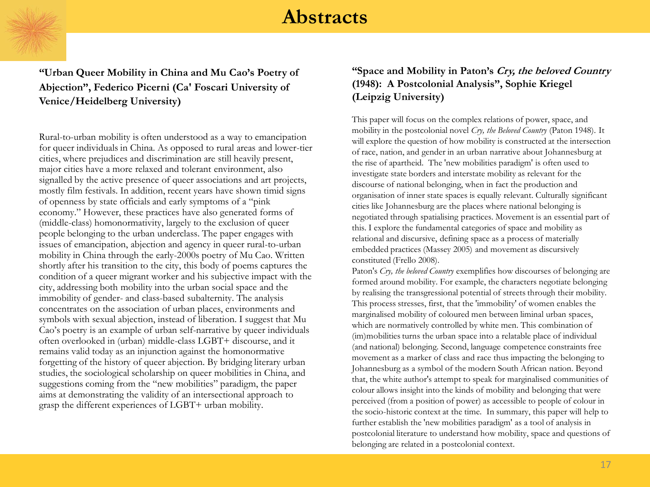

**"Urban Queer Mobility in China and Mu Cao"s Poetry of Abjection", Federico Picerni (Ca' Foscari University of Venice/Heidelberg University)**

Rural-to-urban mobility is often understood as a way to emancipation for queer individuals in China. As opposed to rural areas and lower-tier cities, where prejudices and discrimination are still heavily present, major cities have a more relaxed and tolerant environment, also signalled by the active presence of queer associations and art projects, mostly film festivals. In addition, recent years have shown timid signs of openness by state officials and early symptoms of a "pink" economy." However, these practices have also generated forms of (middle-class) homonormativity, largely to the exclusion of queer people belonging to the urban underclass. The paper engages with issues of emancipation, abjection and agency in queer rural-to-urban mobility in China through the early-2000s poetry of Mu Cao. Written shortly after his transition to the city, this body of poems captures the condition of a queer migrant worker and his subjective impact with the city, addressing both mobility into the urban social space and the immobility of gender- and class-based subalternity. The analysis concentrates on the association of urban places, environments and symbols with sexual abjection, instead of liberation. I suggest that Mu Cao's poetry is an example of urban self-narrative by queer individuals often overlooked in (urban) middle-class LGBT+ discourse, and it remains valid today as an injunction against the homonormative forgetting of the history of queer abjection. By bridging literary urban studies, the sociological scholarship on queer mobilities in China, and suggestions coming from the "new mobilities" paradigm, the paper aims at demonstrating the validity of an intersectional approach to grasp the different experiences of LGBT+ urban mobility.

#### **"Space and Mobility in Paton"s Cry, the beloved Country (1948): A Postcolonial Analysis", Sophie Kriegel (Leipzig University)**

This paper will focus on the complex relations of power, space, and mobility in the postcolonial novel *Cry, the Beloved Country* (Paton 1948). It will explore the question of how mobility is constructed at the intersection of race, nation, and gender in an urban narrative about Johannesburg at the rise of apartheid. The 'new mobilities paradigm' is often used to investigate state borders and interstate mobility as relevant for the discourse of national belonging, when in fact the production and organisation of inner state spaces is equally relevant. Culturally significant cities like Johannesburg are the places where national belonging is negotiated through spatialising practices. Movement is an essential part of this. I explore the fundamental categories of space and mobility as relational and discursive, defining space as a process of materially embedded practices (Massey 2005) and movement as discursively constituted (Frello 2008).

Paton's *Cry, the beloved Country* exemplifies how discourses of belonging are formed around mobility. For example, the characters negotiate belonging by realising the transgressional potential of streets through their mobility. This process stresses, first, that the 'immobility' of women enables the marginalised mobility of coloured men between liminal urban spaces, which are normatively controlled by white men. This combination of (im)mobilities turns the urban space into a relatable place of individual (and national) belonging. Second, language competence constraints free movement as a marker of class and race thus impacting the belonging to Johannesburg as a symbol of the modern South African nation. Beyond that, the white author's attempt to speak for marginalised communities of colour allows insight into the kinds of mobility and belonging that were perceived (from a position of power) as accessible to people of colour in the socio-historic context at the time. In summary, this paper will help to further establish the 'new mobilities paradigm' as a tool of analysis in postcolonial literature to understand how mobility, space and questions of belonging are related in a postcolonial context.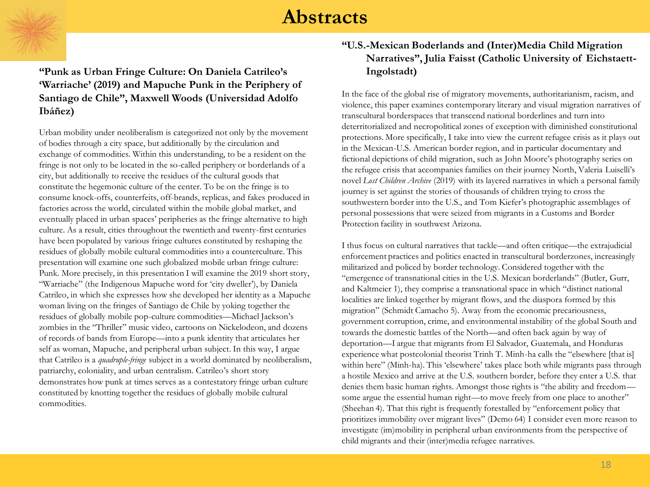**"Punk as Urban Fringe Culture: On Daniela Catrileo"s "Warriache" (2019) and Mapuche Punk in the Periphery of Santiago de Chile", Maxwell Woods (Universidad Adolfo Ibáñez)**

Urban mobility under neoliberalism is categorized not only by the movement of bodies through a city space, but additionally by the circulation and exchange of commodities. Within this understanding, to be a resident on the fringe is not only to be located in the so-called periphery or borderlands of a city, but additionally to receive the residues of the cultural goods that constitute the hegemonic culture of the center. To be on the fringe is to consume knock-offs, counterfeits, off-brands, replicas, and fakes produced in factories across the world, circulated within the mobile global market, and eventually placed in urban spaces' peripheries as the fringe alternative to high culture. As a result, cities throughout the twentieth and twenty-first centuries have been populated by various fringe cultures constituted by reshaping the residues of globally mobile cultural commodities into a counterculture. This presentation will examine one such globalized mobile urban fringe culture: Punk. More precisely, in this presentation I will examine the 2019 short story, ―Warriache‖ (the Indigenous Mapuche word for ‗city dweller'), by Daniela Catrileo, in which she expresses how she developed her identity as a Mapuche woman living on the fringes of Santiago de Chile by yoking together the residues of globally mobile pop-culture commodities—Michael Jackson's zombies in the "Thriller" music video, cartoons on Nickelodeon, and dozens of records of bands from Europe—into a punk identity that articulates her self as woman, Mapuche, and peripheral urban subject. In this way, I argue that Catrileo is a *quadruple-fringe* subject in a world dominated by neoliberalism, patriarchy, coloniality, and urban centralism. Catrileo's short story demonstrates how punk at times serves as a contestatory fringe urban culture constituted by knotting together the residues of globally mobile cultural commodities.

#### **"U.S.-Mexican Boderlands and (Inter)Media Child Migration Narratives", Julia Faisst (Catholic University of Eichstaett-Ingolstadt)**

In the face of the global rise of migratory movements, authoritarianism, racism, and violence, this paper examines contemporary literary and visual migration narratives of transcultural borderspaces that transcend national borderlines and turn into deterritorialized and necropolitical zones of exception with diminished constitutional protections. More specifically, I take into view the current refugee crisis as it plays out in the Mexican-U.S. American border region, and in particular documentary and fictional depictions of child migration, such as John Moore's photography series on the refugee crisis that accompanies families on their journey North, Valeria Luiselli's novel *Lost Children Archive* (2019) with its layered narratives in which a personal family journey is set against the stories of thousands of children trying to cross the southwestern border into the U.S., and Tom Kiefer's photographic assemblages of personal possessions that were seized from migrants in a Customs and Border Protection facility in southwest Arizona.

I thus focus on cultural narratives that tackle—and often critique—the extrajudicial enforcement practices and politics enacted in transcultural borderzones, increasingly militarized and policed by border technology. Considered together with the "emergence of transnational cities in the U.S. Mexican borderlands" (Butler, Gurr, and Kaltmeier 1), they comprise a transnational space in which "distinct national localities are linked together by migrant flows, and the diaspora formed by this migration" (Schmidt Camacho 5). Away from the economic precariousness, government corruption, crime, and environmental instability of the global South and towards the domestic battles of the North—and often back again by way of deportation—I argue that migrants from El Salvador, Guatemala, and Honduras experience what postcolonial theorist Trinh T. Minh-ha calls the "elsewhere [that is] within here" (Minh-ha). This 'elsewhere' takes place both while migrants pass through a hostile Mexico and arrive at the U.S. southern border, before they enter a U.S. that denies them basic human rights. Amongst those rights is "the ability and freedom some argue the essential human right—to move freely from one place to another" (Sheehan 4). That this right is frequently forestalled by "enforcement policy that prioritizes immobility over migrant lives" (Demo 64) I consider even more reason to investigate (im)mobility in peripheral urban environments from the perspective of child migrants and their (inter)media refugee narratives.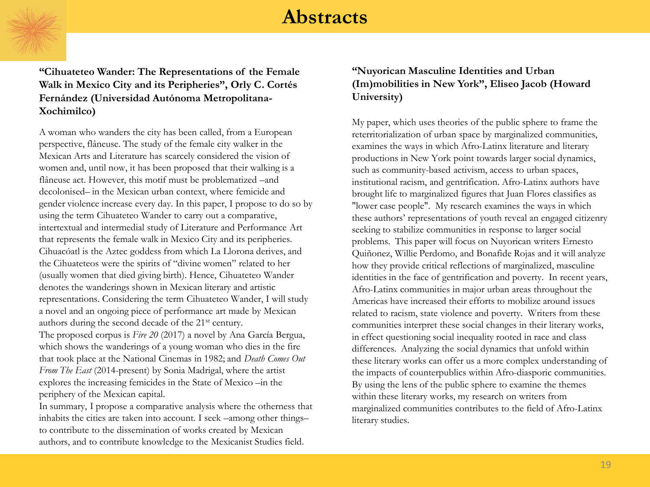**"Cihuateteo Wander: The Representations of the Female Walk in Mexico City and its Peripheries", Orly C. Cortés Fernández (Universidad Autónoma Metropolitana-Xochimilco)**

A woman who wanders the city has been called, from a European perspective, flâneuse. The study of the female city walker in the Mexican Arts and Literature has scarcely considered the vision of women and, until now, it has been proposed that their walking is a flâneuse act. However, this motif must be problematized –and decolonised– in the Mexican urban context, where femicide and gender violence increase every day. In this paper, I propose to do so by using the term Cihuateteo Wander to carry out a comparative, intertextual and intermedial study of Literature and Performance Art that represents the female walk in Mexico City and its peripheries. Cihuacóatl is the Aztec goddess from which La Llorona derives, and the Cihuateteos were the spirits of "divine women" related to her (usually women that died giving birth). Hence, Cihuateteo Wander denotes the wanderings shown in Mexican literary and artistic representations. Considering the term Cihuateteo Wander, I will study a novel and an ongoing piece of performance art made by Mexican authors during the second decade of the 21st century. The proposed corpus is *Fire 20* (2017) a novel by Ana García Bergua, which shows the wanderings of a young woman who dies in the fire that took place at the National Cinemas in 1982; and *Death Comes Out From The East* (2014-present) by Sonia Madrigal, where the artist explores the increasing femicides in the State of Mexico –in the periphery of the Mexican capital.

In summary, I propose a comparative analysis where the otherness that inhabits the cities are taken into account. I seek –among other things– to contribute to the dissemination of works created by Mexican authors, and to contribute knowledge to the Mexicanist Studies field.

#### **"Nuyorican Masculine Identities and Urban (Im)mobilities in New York", Eliseo Jacob (Howard University)**

My paper, which uses theories of the public sphere to frame the reterritorialization of urban space by marginalized communities, examines the ways in which Afro-Latinx literature and literary productions in New York point towards larger social dynamics, such as community-based activism, access to urban spaces, institutional racism, and gentrification. Afro-Latinx authors have brought life to marginalized figures that Juan Flores classifies as "lower case people". My research examines the ways in which these authors' representations of youth reveal an engaged citizenry seeking to stabilize communities in response to larger social problems. This paper will focus on Nuyorican writers Ernesto Quiñonez, Willie Perdomo, and Bonafide Rojas and it will analyze how they provide critical reflections of marginalized, masculine identities in the face of gentrification and poverty. In recent years, Afro-Latinx communities in major urban areas throughout the Americas have increased their efforts to mobilize around issues related to racism, state violence and poverty. Writers from these communities interpret these social changes in their literary works, in effect questioning social inequality rooted in race and class differences. Analyzing the social dynamics that unfold within these literary works can offer us a more complex understanding of the impacts of counterpublics within Afro-diasporic communities. By using the lens of the public sphere to examine the themes within these literary works, my research on writers from marginalized communities contributes to the field of Afro-Latinx literary studies.